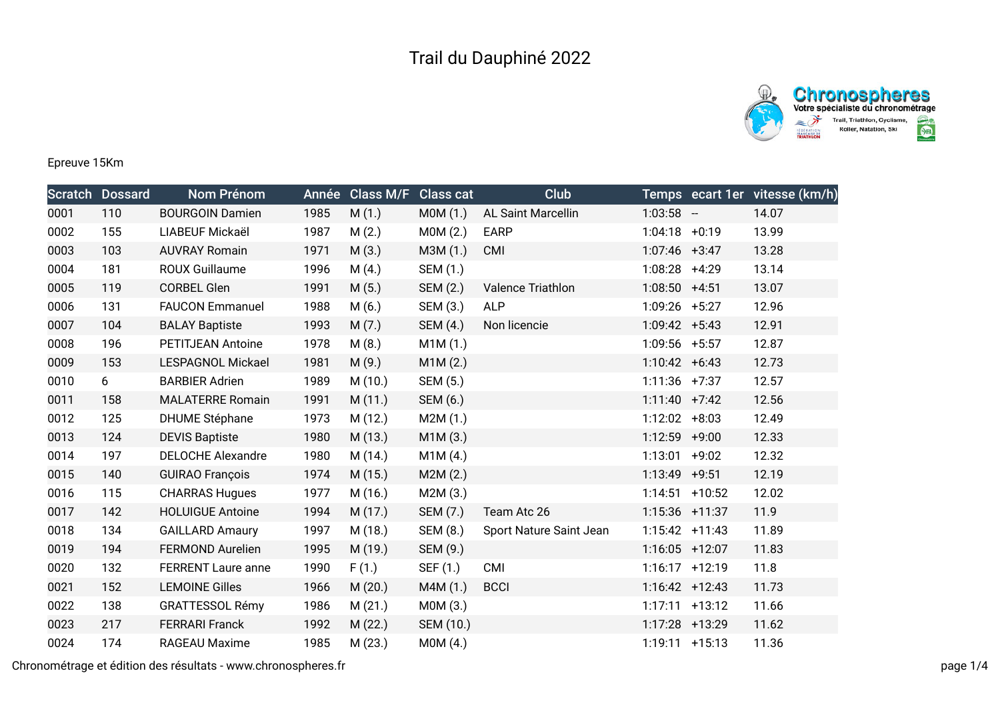## Trail du Dauphiné 2022





Epreuve 15Km

|      | <b>Scratch Dossard</b> | <b>Nom Prénom</b>         | Année | <b>Class M/F</b> | <b>Class cat</b> | Club                      |                 |                   | Temps ecart 1er vitesse (km/h) |
|------|------------------------|---------------------------|-------|------------------|------------------|---------------------------|-----------------|-------------------|--------------------------------|
| 0001 | 110                    | <b>BOURGOIN Damien</b>    | 1985  | M(1.)            | MOM(1.)          | <b>AL Saint Marcellin</b> | $1:03:58 -$     |                   | 14.07                          |
| 0002 | 155                    | LIABEUF Mickaël           | 1987  | M(2.)            | MOM(2.)          | <b>EARP</b>               | $1:04:18$ +0:19 |                   | 13.99                          |
| 0003 | 103                    | <b>AUVRAY Romain</b>      | 1971  | M(3.)            | M3M (1.)         | <b>CMI</b>                | $1:07:46$ +3:47 |                   | 13.28                          |
| 0004 | 181                    | <b>ROUX Guillaume</b>     | 1996  | M(4.)            | SEM (1.)         |                           | 1:08:28 +4:29   |                   | 13.14                          |
| 0005 | 119                    | <b>CORBEL Glen</b>        | 1991  | M(5.)            | SEM (2.)         | Valence Triathlon         | $1:08:50$ +4:51 |                   | 13.07                          |
| 0006 | 131                    | <b>FAUCON Emmanuel</b>    | 1988  | M(6.)            | SEM (3.)         | <b>ALP</b>                | $1:09:26$ +5:27 |                   | 12.96                          |
| 0007 | 104                    | <b>BALAY Baptiste</b>     | 1993  | M(7.)            | SEM (4.)         | Non licencie              | $1:09:42 +5:43$ |                   | 12.91                          |
| 0008 | 196                    | <b>PETITJEAN Antoine</b>  | 1978  | M(8.)            | M1M (1.)         |                           | $1:09:56$ +5:57 |                   | 12.87                          |
| 0009 | 153                    | <b>LESPAGNOL Mickael</b>  | 1981  | M(9.)            | M1M(2.)          |                           | $1:10:42 +6:43$ |                   | 12.73                          |
| 0010 | 6                      | <b>BARBIER Adrien</b>     | 1989  | M(10.)           | SEM (5.)         |                           | $1:11:36$ +7:37 |                   | 12.57                          |
| 0011 | 158                    | <b>MALATERRE Romain</b>   | 1991  | M(11.)           | SEM (6.)         |                           | $1:11:40$ +7:42 |                   | 12.56                          |
| 0012 | 125                    | <b>DHUME Stéphane</b>     | 1973  | M (12.)          | M2M(1.)          |                           | $1:12:02$ +8:03 |                   | 12.49                          |
| 0013 | 124                    | <b>DEVIS Baptiste</b>     | 1980  | M (13.)          | M1M(3.)          |                           | 1:12:59         | $+9:00$           | 12.33                          |
| 0014 | 197                    | <b>DELOCHE Alexandre</b>  | 1980  | M (14.)          | M1M(4.)          |                           | 1:13:01         | $+9:02$           | 12.32                          |
| 0015 | 140                    | <b>GUIRAO François</b>    | 1974  | M (15.)          | M2M(2.)          |                           | 1:13:49         | $+9:51$           | 12.19                          |
| 0016 | 115                    | <b>CHARRAS Hugues</b>     | 1977  | M (16.)          | M2M (3.)         |                           |                 | $1:14:51$ +10:52  | 12.02                          |
| 0017 | 142                    | <b>HOLUIGUE Antoine</b>   | 1994  | M(17.)           | SEM (7.)         | Team Atc 26               |                 | $1:15:36$ +11:37  | 11.9                           |
| 0018 | 134                    | <b>GAILLARD Amaury</b>    | 1997  | M (18.)          | SEM (8.)         | Sport Nature Saint Jean   |                 | $1:15:42$ +11:43  | 11.89                          |
| 0019 | 194                    | <b>FERMOND Aurelien</b>   | 1995  | M (19.)          | SEM (9.)         |                           |                 | $1:16:05$ +12:07  | 11.83                          |
| 0020 | 132                    | <b>FERRENT Laure anne</b> | 1990  | F(1.)            | SEF (1.)         | CMI                       |                 | $1:16:17$ +12:19  | 11.8                           |
| 0021 | 152                    | <b>LEMOINE Gilles</b>     | 1966  | M(20.)           | M4M(1.)          | <b>BCCI</b>               |                 | $1:16:42 +12:43$  | 11.73                          |
| 0022 | 138                    | <b>GRATTESSOL Rémy</b>    | 1986  | M(21.)           | MOM(3.)          |                           |                 | $1:17:11$ +13:12  | 11.66                          |
| 0023 | 217                    | <b>FERRARI Franck</b>     | 1992  | M(22.)           | SEM (10.)        |                           |                 | 1:17:28 +13:29    | 11.62                          |
| 0024 | 174                    | RAGEAU Maxime             | 1985  | M(23.)           | M0M (4.)         |                           |                 | $1:19:11 + 15:13$ | 11.36                          |

Chronométrage et édition des résultats - www.chronospheres.fr page 1/4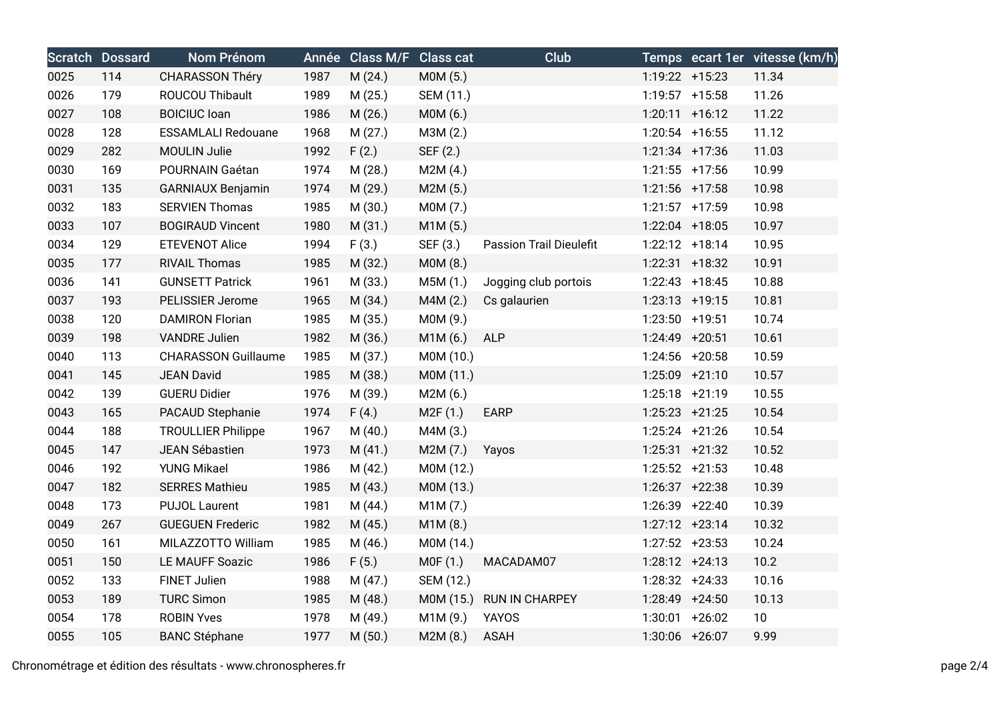|      | <b>Scratch Dossard</b> | Nom Prénom                 | Année | Class M/F Class cat |           | Club                           |                   | Temps ecart 1er vitesse (km/h) |
|------|------------------------|----------------------------|-------|---------------------|-----------|--------------------------------|-------------------|--------------------------------|
| 0025 | 114                    | <b>CHARASSON Théry</b>     | 1987  | M(24.)              | MOM(5.)   |                                | $1:19:22 + 15:23$ | 11.34                          |
| 0026 | 179                    | ROUCOU Thibault            | 1989  | M (25.)             | SEM (11.) |                                | $1:19:57$ +15:58  | 11.26                          |
| 0027 | 108                    | <b>BOICIUC loan</b>        | 1986  | M (26.)             | MOM(6.)   |                                | $1:20:11$ +16:12  | 11.22                          |
| 0028 | 128                    | <b>ESSAMLALI Redouane</b>  | 1968  | M(27.)              | M3M (2.)  |                                | $1:20:54$ +16:55  | 11.12                          |
| 0029 | 282                    | <b>MOULIN Julie</b>        | 1992  | F(2.)               | SEF (2.)  |                                | $1:21:34$ +17:36  | 11.03                          |
| 0030 | 169                    | POURNAIN Gaétan            | 1974  | M(28.)              | M2M(4.)   |                                | $1:21:55$ +17:56  | 10.99                          |
| 0031 | 135                    | <b>GARNIAUX Benjamin</b>   | 1974  | M (29.)             | M2M(5.)   |                                | $1:21:56$ +17:58  | 10.98                          |
| 0032 | 183                    | <b>SERVIEN Thomas</b>      | 1985  | M (30.)             | M0M (7.)  |                                | $1:21:57$ +17:59  | 10.98                          |
| 0033 | 107                    | <b>BOGIRAUD Vincent</b>    | 1980  | M(31.)              | M1M(5.)   |                                | $1:22:04$ +18:05  | 10.97                          |
| 0034 | 129                    | <b>ETEVENOT Alice</b>      | 1994  | F(3.)               | SEF (3.)  | <b>Passion Trail Dieulefit</b> | $1:22:12$ +18:14  | 10.95                          |
| 0035 | 177                    | <b>RIVAIL Thomas</b>       | 1985  | M (32.)             | MOM(8.)   |                                | $1:22:31$ +18:32  | 10.91                          |
| 0036 | 141                    | <b>GUNSETT Patrick</b>     | 1961  | M (33.)             | M5M (1.)  | Jogging club portois           | $1:22:43$ +18:45  | 10.88                          |
| 0037 | 193                    | PELISSIER Jerome           | 1965  | M (34.)             | M4M(2.)   | Cs galaurien                   | $1:23:13$ +19:15  | 10.81                          |
| 0038 | 120                    | <b>DAMIRON Florian</b>     | 1985  | M (35.)             | M0M (9.)  |                                | 1:23:50 +19:51    | 10.74                          |
| 0039 | 198                    | <b>VANDRE Julien</b>       | 1982  | M (36.)             | M1M (6.)  | <b>ALP</b>                     | 1:24:49 +20:51    | 10.61                          |
| 0040 | 113                    | <b>CHARASSON Guillaume</b> | 1985  | M (37.)             | M0M (10.) |                                | 1:24:56 +20:58    | 10.59                          |
| 0041 | 145                    | <b>JEAN David</b>          | 1985  | M (38.)             | M0M (11.) |                                | $1:25:09$ +21:10  | 10.57                          |
| 0042 | 139                    | <b>GUERU Didier</b>        | 1976  | M (39.)             | M2M(6.)   |                                | $1:25:18$ +21:19  | 10.55                          |
| 0043 | 165                    | PACAUD Stephanie           | 1974  | F(4.)               | M2F(1.)   | EARP                           | $1:25:23$ +21:25  | 10.54                          |
| 0044 | 188                    | <b>TROULLIER Philippe</b>  | 1967  | M(40.)              | M4M (3.)  |                                | $1:25:24$ +21:26  | 10.54                          |
| 0045 | 147                    | JEAN Sébastien             | 1973  | M(41.)              | M2M (7.)  | Yayos                          | $1:25:31$ +21:32  | 10.52                          |
| 0046 | 192                    | <b>YUNG Mikael</b>         | 1986  | M (42.)             | M0M (12.) |                                | $1:25:52$ +21:53  | 10.48                          |
| 0047 | 182                    | <b>SERRES Mathieu</b>      | 1985  | M(43.)              | M0M (13.) |                                | $1:26:37$ +22:38  | 10.39                          |
| 0048 | 173                    | <b>PUJOL Laurent</b>       | 1981  | M (44.)             | M1M(7.)   |                                | $1:26:39$ +22:40  | 10.39                          |
| 0049 | 267                    | <b>GUEGUEN Frederic</b>    | 1982  | M (45.)             | M1M(8.)   |                                | $1:27:12 +23:14$  | 10.32                          |
| 0050 | 161                    | MILAZZOTTO William         | 1985  | M (46.)             | M0M (14.) |                                | $1:27:52$ +23:53  | 10.24                          |
| 0051 | 150                    | LE MAUFF Soazic            | 1986  | F(5.)               | M0F (1.)  | MACADAM07                      | $1:28:12 +24:13$  | 10.2                           |
| 0052 | 133                    | <b>FINET Julien</b>        | 1988  | M (47.)             | SEM (12.) |                                | $1:28:32 +24:33$  | 10.16                          |
| 0053 | 189                    | <b>TURC Simon</b>          | 1985  | M (48.)             |           | M0M (15.) RUN IN CHARPEY       | 1:28:49 +24:50    | 10.13                          |
| 0054 | 178                    | <b>ROBIN Yves</b>          | 1978  | M (49.)             | M1M(9.)   | <b>YAYOS</b>                   | $1:30:01$ +26:02  | 10 <sup>°</sup>                |
| 0055 | 105                    | <b>BANC Stéphane</b>       | 1977  | M(50.)              | M2M(8.)   | <b>ASAH</b>                    | 1:30:06 +26:07    | 9.99                           |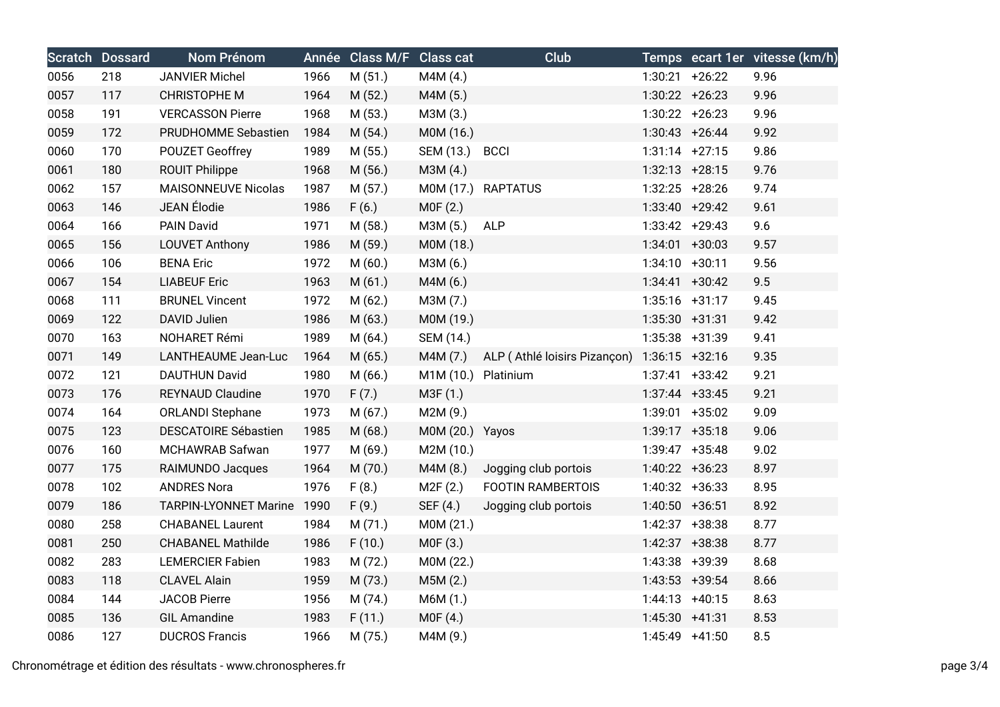|      | <b>Scratch Dossard</b> | <b>Nom Prénom</b>            |      | Année Class M/F | <b>Class cat</b>    | Club                         |                   | Temps ecart 1er vitesse (km/h) |
|------|------------------------|------------------------------|------|-----------------|---------------------|------------------------------|-------------------|--------------------------------|
| 0056 | 218                    | <b>JANVIER Michel</b>        | 1966 | M(51.)          | M4M(4.)             |                              | $1:30:21$ +26:22  | 9.96                           |
| 0057 | 117                    | <b>CHRISTOPHE M</b>          | 1964 | M (52.)         | M4M (5.)            |                              | $1:30:22 + 26:23$ | 9.96                           |
| 0058 | 191                    | <b>VERCASSON Pierre</b>      | 1968 | M(53.)          | M3M (3.)            |                              | $1:30:22 +26:23$  | 9.96                           |
| 0059 | 172                    | PRUDHOMME Sebastien          | 1984 | M (54.)         | M0M (16.)           |                              | $1:30:43 + 26:44$ | 9.92                           |
| 0060 | 170                    | <b>POUZET Geoffrey</b>       | 1989 | M(55.)          | SEM (13.) BCCI      |                              | $1:31:14$ +27:15  | 9.86                           |
| 0061 | 180                    | <b>ROUIT Philippe</b>        | 1968 | M(56.)          | M3M (4.)            |                              | $1:32:13$ +28:15  | 9.76                           |
| 0062 | 157                    | <b>MAISONNEUVE Nicolas</b>   | 1987 | M (57.)         |                     | M0M (17.) RAPTATUS           | $1:32:25$ +28:26  | 9.74                           |
| 0063 | 146                    | JEAN Élodie                  | 1986 | F(6.)           | MOF(2.)             |                              | $1:33:40 +29:42$  | 9.61                           |
| 0064 | 166                    | PAIN David                   | 1971 | M (58.)         | M3M (5.)            | <b>ALP</b>                   | $1:33:42 +29:43$  | 9.6                            |
| 0065 | 156                    | <b>LOUVET Anthony</b>        | 1986 | M (59.)         | M0M (18.)           |                              | $1:34:01$ +30:03  | 9.57                           |
| 0066 | 106                    | <b>BENA Eric</b>             | 1972 | M(60.)          | M3M (6.)            |                              | $1:34:10 + 30:11$ | 9.56                           |
| 0067 | 154                    | <b>LIABEUF Eric</b>          | 1963 | M(61.)          | M4M (6.)            |                              | $1:34:41 + 30:42$ | 9.5                            |
| 0068 | 111                    | <b>BRUNEL Vincent</b>        | 1972 | M(62.)          | M3M (7.)            |                              | $1:35:16$ +31:17  | 9.45                           |
| 0069 | 122                    | DAVID Julien                 | 1986 | M(63.)          | M0M (19.)           |                              | $1:35:30 +31:31$  | 9.42                           |
| 0070 | 163                    | NOHARET Rémi                 | 1989 | M(64.)          | SEM (14.)           |                              | 1:35:38 +31:39    | 9.41                           |
| 0071 | 149                    | LANTHEAUME Jean-Luc          | 1964 | M (65.)         | M4M (7.)            | ALP (Athlé loisirs Pizançon) | $1:36:15$ +32:16  | 9.35                           |
| 0072 | 121                    | <b>DAUTHUN David</b>         | 1980 | M(66.)          | M1M (10.) Platinium |                              | $1:37:41$ +33:42  | 9.21                           |
| 0073 | 176                    | <b>REYNAUD Claudine</b>      | 1970 | F(7.)           | M3F (1.)            |                              | $1:37:44$ +33:45  | 9.21                           |
| 0074 | 164                    | <b>ORLANDI Stephane</b>      | 1973 | M(67.)          | M2M (9.)            |                              | $1:39:01$ +35:02  | 9.09                           |
| 0075 | 123                    | <b>DESCATOIRE Sébastien</b>  | 1985 | M (68.)         | M0M (20.) Yayos     |                              | $1:39:17$ +35:18  | 9.06                           |
| 0076 | 160                    | MCHAWRAB Safwan              | 1977 | M (69.)         | M2M (10.)           |                              | $1:39:47$ +35:48  | 9.02                           |
| 0077 | 175                    | RAIMUNDO Jacques             | 1964 | M (70.)         | M4M (8.)            | Jogging club portois         | $1:40:22 +36:23$  | 8.97                           |
| 0078 | 102                    | <b>ANDRES Nora</b>           | 1976 | F(8.)           | M2F (2.)            | <b>FOOTIN RAMBERTOIS</b>     | $1:40:32 +36:33$  | 8.95                           |
| 0079 | 186                    | <b>TARPIN-LYONNET Marine</b> | 1990 | F(9.)           | SEF (4.)            | Jogging club portois         | $1:40:50 +36:51$  | 8.92                           |
| 0080 | 258                    | <b>CHABANEL Laurent</b>      | 1984 | M(71.)          | M0M (21.)           |                              | $1:42:37$ +38:38  | 8.77                           |
| 0081 | 250                    | <b>CHABANEL Mathilde</b>     | 1986 | F(10.)          | MOF(3.)             |                              | $1:42:37$ +38:38  | 8.77                           |
| 0082 | 283                    | <b>LEMERCIER Fabien</b>      | 1983 | M(72.)          | M0M (22.)           |                              | 1:43:38 +39:39    | 8.68                           |
| 0083 | 118                    | <b>CLAVEL Alain</b>          | 1959 | M (73.)         | M5M(2.)             |                              | $1:43:53$ +39:54  | 8.66                           |
| 0084 | 144                    | <b>JACOB Pierre</b>          | 1956 | M (74.)         | M6M (1.)            |                              | $1:44:13 +40:15$  | 8.63                           |
| 0085 | 136                    | <b>GIL Amandine</b>          | 1983 | F(11.)          | MOF(4.)             |                              | $1:45:30 +41:31$  | 8.53                           |
| 0086 | 127                    | <b>DUCROS Francis</b>        | 1966 | M (75.)         | M4M (9.)            |                              | $1:45:49$ +41:50  | 8.5                            |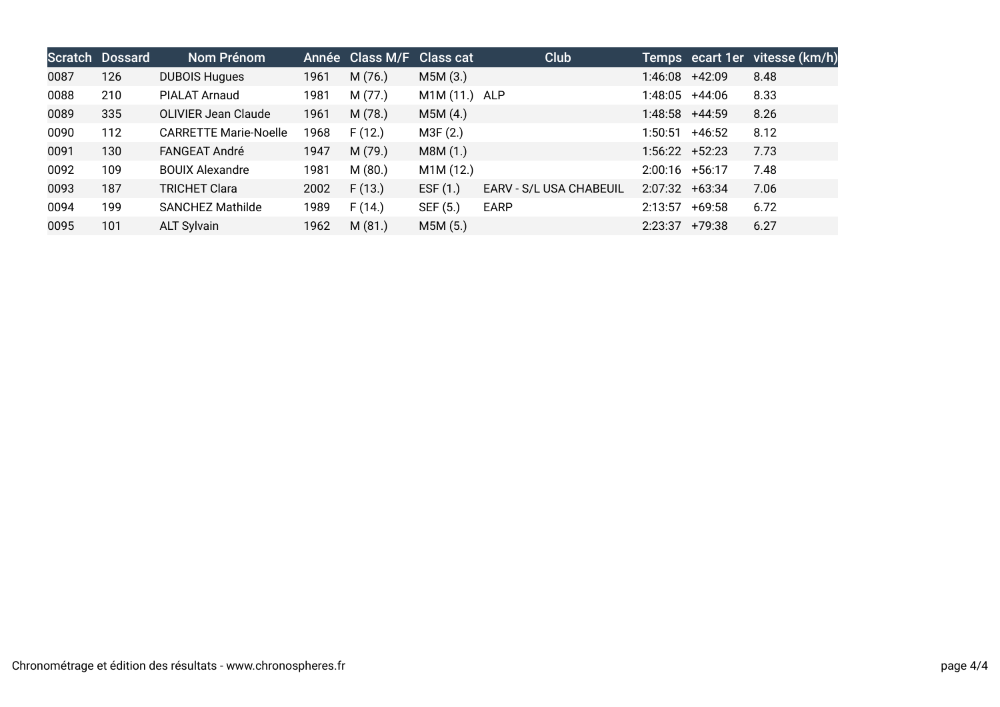|      | <b>Scratch Dossard</b> | Nom Prénom                   |      | Année Class M/F Class cat |               | <b>Club</b>             |                  |                  | Temps ecart 1er vitesse (km/h) |
|------|------------------------|------------------------------|------|---------------------------|---------------|-------------------------|------------------|------------------|--------------------------------|
| 0087 | 126                    | <b>DUBOIS Hugues</b>         | 1961 | M(76.)                    | M5M (3.)      |                         | 1:46:08          | +42:09           | 8.48                           |
| 0088 | 210                    | PIALAT Arnaud                | 1981 | M(77.)                    | M1M (11.) ALP |                         | 1:48:05          | +44:06           | 8.33                           |
| 0089 | 335                    | <b>OLIVIER Jean Claude</b>   | 1961 | M(78.)                    | M5M(4.)       |                         | 1:48:58          | +44:59           | 8.26                           |
| 0090 | 112                    | <b>CARRETTE Marie-Noelle</b> | 1968 | F(12.)                    | M3F (2.)      |                         | 1:50:51          | +46:52           | 8.12                           |
| 0091 | 130                    | FANGEAT André                | 1947 | M (79.)                   | M8M (1.)      |                         |                  | $1:56:22$ +52:23 | 7.73                           |
| 0092 | 109                    | <b>BOUIX Alexandre</b>       | 1981 | M(80.)                    | M1M (12.)     |                         | $2:00:16$ +56:17 |                  | 7.48                           |
| 0093 | 187                    | <b>TRICHET Clara</b>         | 2002 | F(13.)                    | EST(1.)       | EARV - S/L USA CHABEUIL | $2:07:32$ +63:34 |                  | 7.06                           |
| 0094 | 199                    | <b>SANCHEZ Mathilde</b>      | 1989 | F(14.)                    | SEF (5.)      | <b>EARP</b>             | 2:13:57          | +69:58           | 6.72                           |
| 0095 | 101                    | <b>ALT Sylvain</b>           | 1962 | M(81.)                    | M5M (5.)      |                         | 2:23:37          | +79:38           | 6.27                           |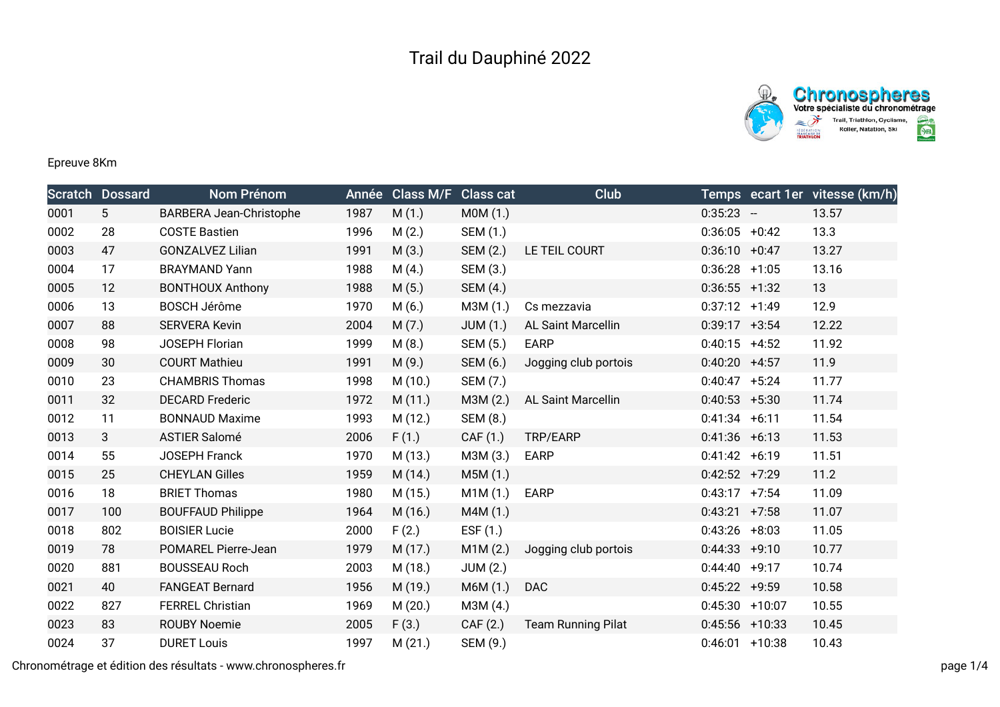



## Epreuve 8Km

|      | <b>Scratch Dossard</b> | Nom Prénom                     |      | Année Class M/F Class cat |                 | Club                      |                   | Temps ecart 1er vitesse (km/h) |
|------|------------------------|--------------------------------|------|---------------------------|-----------------|---------------------------|-------------------|--------------------------------|
| 0001 | $5\phantom{.0}$        | <b>BARBERA Jean-Christophe</b> | 1987 | M(1.)                     | MOM(1.)         |                           | $0:35:23 -$       | 13.57                          |
| 0002 | 28                     | <b>COSTE Bastien</b>           | 1996 | M(2.)                     | SEM (1.)        |                           | $0:36:05$ +0:42   | 13.3                           |
| 0003 | 47                     | <b>GONZALVEZ Lilian</b>        | 1991 | M(3.)                     | SEM (2.)        | LE TEIL COURT             | $0:36:10 + 0:47$  | 13.27                          |
| 0004 | 17                     | <b>BRAYMAND Yann</b>           | 1988 | M(4.)                     | SEM (3.)        |                           | $0:36:28$ +1:05   | 13.16                          |
| 0005 | 12                     | <b>BONTHOUX Anthony</b>        | 1988 | M(5.)                     | SEM (4.)        |                           | $0:36:55$ +1:32   | 13                             |
| 0006 | 13                     | <b>BOSCH Jérôme</b>            | 1970 | M(6.)                     | M3M (1.)        | Cs mezzavia               | $0:37:12 +1:49$   | 12.9                           |
| 0007 | 88                     | <b>SERVERA Kevin</b>           | 2004 | M(7.)                     | <b>JUM (1.)</b> | AL Saint Marcellin        | $0:39:17 +3:54$   | 12.22                          |
| 0008 | 98                     | JOSEPH Florian                 | 1999 | M(8.)                     | SEM (5.)        | <b>EARP</b>               | $0:40:15$ +4:52   | 11.92                          |
| 0009 | 30                     | <b>COURT Mathieu</b>           | 1991 | M(9.)                     | SEM (6.)        | Jogging club portois      | $0:40:20$ +4:57   | 11.9                           |
| 0010 | 23                     | <b>CHAMBRIS Thomas</b>         | 1998 | M(10.)                    | SEM (7.)        |                           | $0:40:47 + 5:24$  | 11.77                          |
| 0011 | 32                     | <b>DECARD Frederic</b>         | 1972 | M(11.)                    | M3M (2.)        | <b>AL Saint Marcellin</b> | $0:40:53$ +5:30   | 11.74                          |
| 0012 | 11                     | <b>BONNAUD Maxime</b>          | 1993 | M (12.)                   | SEM (8.)        |                           | $0:41:34 +6:11$   | 11.54                          |
| 0013 | 3                      | <b>ASTIER Salomé</b>           | 2006 | F(1.)                     | CAF (1.)        | TRP/EARP                  | $0:41:36$ +6:13   | 11.53                          |
| 0014 | 55                     | <b>JOSEPH Franck</b>           | 1970 | M (13.)                   | M3M (3.)        | <b>EARP</b>               | $0:41:42 +6:19$   | 11.51                          |
| 0015 | 25                     | <b>CHEYLAN Gilles</b>          | 1959 | M(14.)                    | M5M (1.)        |                           | $0:42:52$ +7:29   | 11.2                           |
| 0016 | 18                     | <b>BRIET Thomas</b>            | 1980 | M (15.)                   | M1M (1.)        | <b>EARP</b>               | $0:43:17$ +7:54   | 11.09                          |
| 0017 | 100                    | <b>BOUFFAUD Philippe</b>       | 1964 | M (16.)                   | M4M (1.)        |                           | $0:43:21$ +7:58   | 11.07                          |
| 0018 | 802                    | <b>BOISIER Lucie</b>           | 2000 | F(2.)                     | ESF (1.)        |                           | $0:43:26$ +8:03   | 11.05                          |
| 0019 | 78                     | POMAREL Pierre-Jean            | 1979 | M (17.)                   | M1M(2.)         | Jogging club portois      | $0:44:33 +9:10$   | 10.77                          |
| 0020 | 881                    | <b>BOUSSEAU Roch</b>           | 2003 | M (18.)                   | <b>JUM (2.)</b> |                           | $0:44:40 +9:17$   | 10.74                          |
| 0021 | 40                     | <b>FANGEAT Bernard</b>         | 1956 | M (19.)                   | M6M (1.)        | <b>DAC</b>                | $0:45:22 +9:59$   | 10.58                          |
| 0022 | 827                    | <b>FERREL Christian</b>        | 1969 | M(20.)                    | M3M (4.)        |                           | $0:45:30 + 10:07$ | 10.55                          |
| 0023 | 83                     | <b>ROUBY Noemie</b>            | 2005 | F(3.)                     | CAF (2.)        | <b>Team Running Pilat</b> | $0:45:56$ +10:33  | 10.45                          |
| 0024 | 37                     | <b>DURET Louis</b>             | 1997 | M(21.)                    | SEM (9.)        |                           | $0:46:01$ +10:38  | 10.43                          |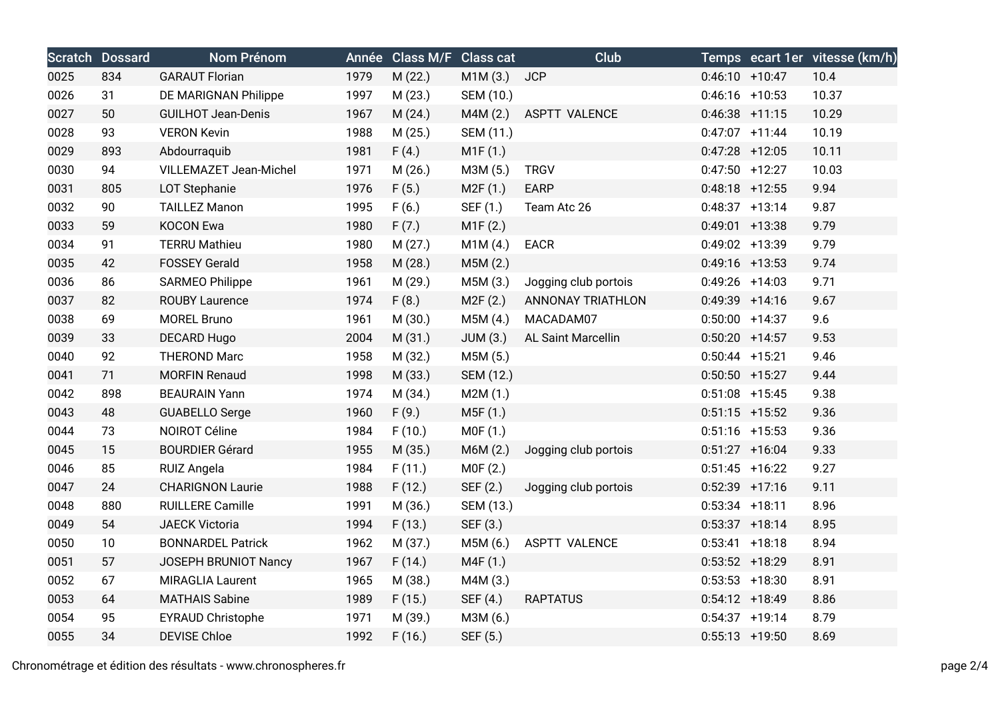|      | <b>Scratch Dossard</b> | Nom Prénom                |      | Année Class M/F Class cat |           | <b>Club</b>          |                   | Temps ecart 1er vitesse (km/h) |
|------|------------------------|---------------------------|------|---------------------------|-----------|----------------------|-------------------|--------------------------------|
| 0025 | 834                    | <b>GARAUT Florian</b>     | 1979 | M (22.)                   | M1M(3.)   | <b>JCP</b>           | $0:46:10 + 10:47$ | 10.4                           |
| 0026 | 31                     | DE MARIGNAN Philippe      | 1997 | M(23.)                    | SEM (10.) |                      | $0:46:16$ +10:53  | 10.37                          |
| 0027 | 50                     | <b>GUILHOT Jean-Denis</b> | 1967 | M(24.)                    | M4M(2.)   | <b>ASPTT VALENCE</b> | $0:46:38$ +11:15  | 10.29                          |
| 0028 | 93                     | <b>VERON Kevin</b>        | 1988 | M(25.)                    | SEM (11.) |                      | $0:47:07$ +11:44  | 10.19                          |
| 0029 | 893                    | Abdourraquib              | 1981 | F(4.)                     | M1F(1.)   |                      | $0:47:28$ +12:05  | 10.11                          |
| 0030 | 94                     | VILLEMAZET Jean-Michel    | 1971 | M(26.)                    | M3M (5.)  | <b>TRGV</b>          | $0:47:50$ +12:27  | 10.03                          |
| 0031 | 805                    | <b>LOT Stephanie</b>      | 1976 | F(5.)                     | M2F(1.)   | EARP                 | $0:48:18$ +12:55  | 9.94                           |
| 0032 | 90                     | <b>TAILLEZ Manon</b>      | 1995 | F(6.)                     | SEF (1.)  | Team Atc 26          | $0:48:37$ +13:14  | 9.87                           |
| 0033 | 59                     | <b>KOCON Ewa</b>          | 1980 | F(7.)                     | M1F(2.)   |                      | $0:49:01$ +13:38  | 9.79                           |
| 0034 | 91                     | <b>TERRU Mathieu</b>      | 1980 | M(27.)                    | M1M(4.)   | EACR                 | 0:49:02 +13:39    | 9.79                           |
| 0035 | 42                     | <b>FOSSEY Gerald</b>      | 1958 | M (28.)                   | M5M (2.)  |                      | $0:49:16$ +13:53  | 9.74                           |
| 0036 | 86                     | <b>SARMEO Philippe</b>    | 1961 | M (29.)                   | M5M (3.)  | Jogging club portois | $0:49:26$ +14:03  | 9.71                           |
| 0037 | 82                     | <b>ROUBY Laurence</b>     | 1974 | F(8.)                     | M2F(2.)   | ANNONAY TRIATHLON    | $0:49:39$ +14:16  | 9.67                           |
| 0038 | 69                     | <b>MOREL Bruno</b>        | 1961 | M (30.)                   | M5M (4.)  | MACADAM07            | $0:50:00$ +14:37  | 9.6                            |
| 0039 | 33                     | <b>DECARD Hugo</b>        | 2004 | M(31.)                    | JUM(3.)   | AL Saint Marcellin   | $0:50:20$ +14:57  | 9.53                           |
| 0040 | 92                     | <b>THEROND Marc</b>       | 1958 | M (32.)                   | M5M (5.)  |                      | $0:50:44$ +15:21  | 9.46                           |
| 0041 | 71                     | <b>MORFIN Renaud</b>      | 1998 | M (33.)                   | SEM (12.) |                      | $0:50:50$ +15:27  | 9.44                           |
| 0042 | 898                    | <b>BEAURAIN Yann</b>      | 1974 | M (34.)                   | M2M(1.)   |                      | $0:51:08$ +15:45  | 9.38                           |
| 0043 | 48                     | <b>GUABELLO Serge</b>     | 1960 | F(9.)                     | M5F (1.)  |                      | $0:51:15$ +15:52  | 9.36                           |
| 0044 | 73                     | NOIROT Céline             | 1984 | F(10.)                    | M0F (1.)  |                      | $0:51:16$ +15:53  | 9.36                           |
| 0045 | 15                     | <b>BOURDIER Gérard</b>    | 1955 | M (35.)                   | M6M (2.)  | Jogging club portois | $0:51:27$ +16:04  | 9.33                           |
| 0046 | 85                     | RUIZ Angela               | 1984 | F(11.)                    | MOF(2.)   |                      | $0:51:45$ +16:22  | 9.27                           |
| 0047 | 24                     | <b>CHARIGNON Laurie</b>   | 1988 | F(12.)                    | SEF (2.)  | Jogging club portois | $0:52:39$ +17:16  | 9.11                           |
| 0048 | 880                    | <b>RUILLERE Camille</b>   | 1991 | M (36.)                   | SEM (13.) |                      | $0:53:34$ +18:11  | 8.96                           |
| 0049 | 54                     | <b>JAECK Victoria</b>     | 1994 | F(13.)                    | SEF (3.)  |                      | $0:53:37$ +18:14  | 8.95                           |
| 0050 | 10                     | <b>BONNARDEL Patrick</b>  | 1962 | M (37.)                   | M5M (6.)  | <b>ASPTT VALENCE</b> | $0:53:41$ +18:18  | 8.94                           |
| 0051 | 57                     | JOSEPH BRUNIOT Nancy      | 1967 | F(14.)                    | M4F (1.)  |                      | $0:53:52$ +18:29  | 8.91                           |
| 0052 | 67                     | <b>MIRAGLIA Laurent</b>   | 1965 | M (38.)                   | M4M (3.)  |                      | $0:53:53$ +18:30  | 8.91                           |
| 0053 | 64                     | <b>MATHAIS Sabine</b>     | 1989 | F(15.)                    | SEF (4.)  | <b>RAPTATUS</b>      | $0:54:12$ +18:49  | 8.86                           |
| 0054 | 95                     | <b>EYRAUD Christophe</b>  | 1971 | M (39.)                   | M3M (6.)  |                      | $0:54:37$ +19:14  | 8.79                           |
| 0055 | 34                     | <b>DEVISE Chloe</b>       | 1992 | F(16.)                    | SEF (5.)  |                      | $0:55:13$ +19:50  | 8.69                           |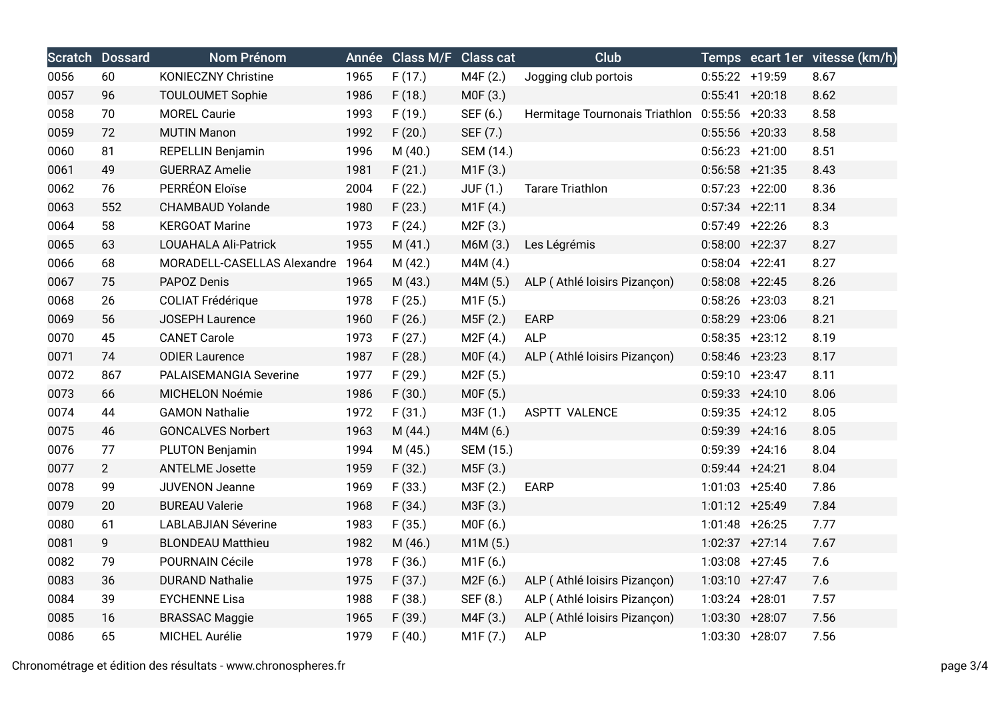|      | <b>Scratch Dossard</b> | <b>Nom Prénom</b>           |      | Année Class M/F Class cat |                       | <b>Club</b>                    |                   | Temps ecart 1er vitesse (km/h) |
|------|------------------------|-----------------------------|------|---------------------------|-----------------------|--------------------------------|-------------------|--------------------------------|
| 0056 | 60                     | <b>KONIECZNY Christine</b>  | 1965 | F(17.)                    | M4F (2.)              | Jogging club portois           | $0:55:22$ +19:59  | 8.67                           |
| 0057 | 96                     | TOULOUMET Sophie            | 1986 | F(18.)                    | M0F (3.)              |                                | $0:55:41 + 20:18$ | 8.62                           |
| 0058 | 70                     | <b>MOREL Caurie</b>         | 1993 | F(19.)                    | SEF (6.)              | Hermitage Tournonais Triathlon | $0:55:56$ +20:33  | 8.58                           |
| 0059 | 72                     | <b>MUTIN Manon</b>          | 1992 | F(20.)                    | SEF (7.)              |                                | $0:55:56$ +20:33  | 8.58                           |
| 0060 | 81                     | <b>REPELLIN Benjamin</b>    | 1996 | M (40.)                   | SEM (14.)             |                                | $0:56:23 + 21:00$ | 8.51                           |
| 0061 | 49                     | <b>GUERRAZ Amelie</b>       | 1981 | F(21.)                    | M1F(3.)               |                                | $0:56:58$ +21:35  | 8.43                           |
| 0062 | 76                     | PERRÉON Eloïse              | 2004 | F(22.)                    | <b>JUF (1.)</b>       | <b>Tarare Triathlon</b>        | $0:57:23$ +22:00  | 8.36                           |
| 0063 | 552                    | <b>CHAMBAUD Yolande</b>     | 1980 | F(23.)                    | M1F(4.)               |                                | $0:57:34$ +22:11  | 8.34                           |
| 0064 | 58                     | <b>KERGOAT Marine</b>       | 1973 | F(24.)                    | M2F (3.)              |                                | $0:57:49$ +22:26  | 8.3                            |
| 0065 | 63                     | LOUAHALA Ali-Patrick        | 1955 | M(41.)                    | M6M (3.)              | Les Légrémis                   | $0:58:00 + 22:37$ | 8.27                           |
| 0066 | 68                     | MORADELL-CASELLAS Alexandre | 1964 | M (42.)                   | M4M (4.)              |                                | $0:58:04$ +22:41  | 8.27                           |
| 0067 | 75                     | PAPOZ Denis                 | 1965 | M(43.)                    | M4M (5.)              | ALP (Athlé loisirs Pizançon)   | $0:58:08$ +22:45  | 8.26                           |
| 0068 | 26                     | <b>COLIAT Frédérique</b>    | 1978 | F(25.)                    | M1F (5.)              |                                | $0:58:26$ +23:03  | 8.21                           |
| 0069 | 56                     | JOSEPH Laurence             | 1960 | F(26.)                    | M5F (2.)              | <b>EARP</b>                    | $0:58:29$ +23:06  | 8.21                           |
| 0070 | 45                     | <b>CANET Carole</b>         | 1973 | F(27.)                    | M2F (4.)              | <b>ALP</b>                     | $0:58:35$ +23:12  | 8.19                           |
| 0071 | 74                     | <b>ODIER Laurence</b>       | 1987 | F(28.)                    | MOF(4.)               | ALP (Athlé loisirs Pizançon)   | $0:58:46$ +23:23  | 8.17                           |
| 0072 | 867                    | PALAISEMANGIA Severine      | 1977 | F(29.)                    | M <sub>2</sub> F (5.) |                                | $0:59:10 + 23:47$ | 8.11                           |
| 0073 | 66                     | MICHELON Noémie             | 1986 | F(30.)                    | M0F (5.)              |                                | $0:59:33 + 24:10$ | 8.06                           |
| 0074 | 44                     | <b>GAMON Nathalie</b>       | 1972 | F(31.)                    | M3F (1.)              | <b>ASPTT VALENCE</b>           | $0:59:35$ +24:12  | 8.05                           |
| 0075 | 46                     | <b>GONCALVES Norbert</b>    | 1963 | M(44.)                    | M4M (6.)              |                                | $0:59:39$ +24:16  | 8.05                           |
| 0076 | 77                     | <b>PLUTON Benjamin</b>      | 1994 | M (45.)                   | SEM (15.)             |                                | $0:59:39$ +24:16  | 8.04                           |
| 0077 | $\overline{2}$         | <b>ANTELME Josette</b>      | 1959 | F(32.)                    | M5F (3.)              |                                | $0:59:44 + 24:21$ | 8.04                           |
| 0078 | 99                     | <b>JUVENON Jeanne</b>       | 1969 | F(33.)                    | M3F (2.)              | <b>EARP</b>                    | $1:01:03$ +25:40  | 7.86                           |
| 0079 | 20                     | <b>BUREAU Valerie</b>       | 1968 | F(34.)                    | M3F (3.)              |                                | 1:01:12 +25:49    | 7.84                           |
| 0080 | 61                     | <b>LABLABJIAN Séverine</b>  | 1983 | F(35.)                    | M0F (6.)              |                                | $1:01:48$ +26:25  | 7.77                           |
| 0081 | 9                      | <b>BLONDEAU Matthieu</b>    | 1982 | M (46.)                   | M1M (5.)              |                                | $1:02:37 +27:14$  | 7.67                           |
| 0082 | 79                     | POURNAIN Cécile             | 1978 | F(36.)                    | M1F (6.)              |                                | $1:03:08$ +27:45  | 7.6                            |
| 0083 | 36                     | <b>DURAND Nathalie</b>      | 1975 | F(37.)                    | M2F(6.)               | ALP (Athlé loisirs Pizançon)   | $1:03:10 +27:47$  | 7.6                            |
| 0084 | 39                     | <b>EYCHENNE Lisa</b>        | 1988 | F(38.)                    | SEF (8.)              | ALP (Athlé loisirs Pizançon)   | $1:03:24$ +28:01  | 7.57                           |
| 0085 | 16                     | <b>BRASSAC Maggie</b>       | 1965 | F(39.)                    | M4F (3.)              | ALP (Athlé loisirs Pizançon)   | 1:03:30 +28:07    | 7.56                           |
| 0086 | 65                     | MICHEL Aurélie              | 1979 | F(40.)                    | M1F (7.)              | <b>ALP</b>                     | 1:03:30 +28:07    | 7.56                           |